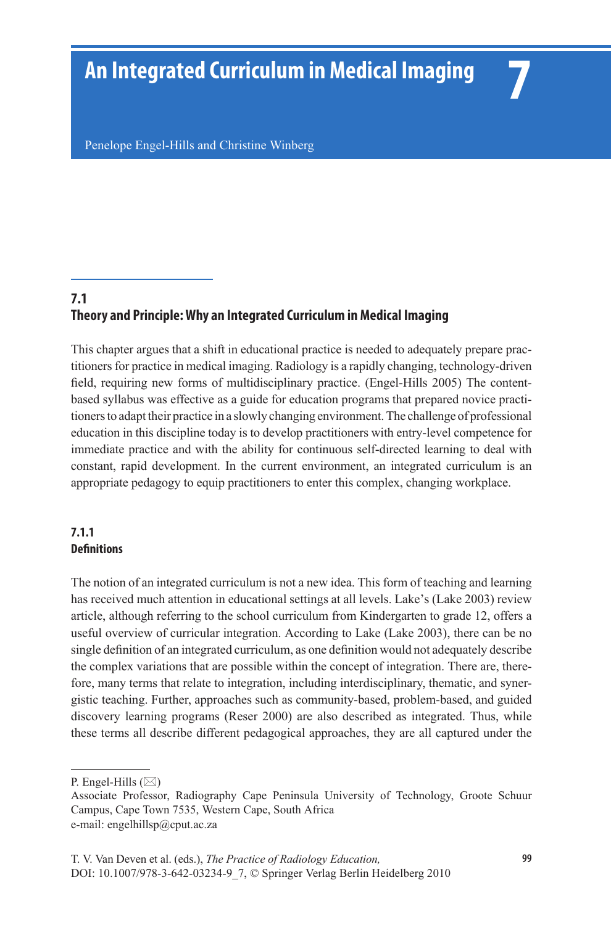# **An Integrated Curriculum in Medical Imaging**

## Penelope Engel-Hills and Christine Winberg

# **7.1 Theory and Principle: Why an Integrated Curriculum in Medical Imaging**

This chapter argues that a shift in educational practice is needed to adequately prepare practitioners for practice in medical imaging. Radiology is a rapidly changing, technology-driven field, requiring new forms of multidisciplinary practice. (Engel-Hills 2005) The contentbased syllabus was effective as a guide for education programs that prepared novice practitioners to adapt their practice in a slowly changing environment. The challenge of professional education in this discipline today is to develop practitioners with entry-level competence for immediate practice and with the ability for continuous self-directed learning to deal with constant, rapid development. In the current environment, an integrated curriculum is an appropriate pedagogy to equip practitioners to enter this complex, changing workplace.

# **7.1.1 Defi nitions**

The notion of an integrated curriculum is not a new idea. This form of teaching and learning has received much attention in educational settings at all levels. Lake's (Lake 2003) review article, although referring to the school curriculum from Kindergarten to grade 12, offers a useful overview of curricular integration. According to Lake (Lake 2003), there can be no single definition of an integrated curriculum, as one definition would not adequately describe the complex variations that are possible within the concept of integration. There are, therefore, many terms that relate to integration, including interdisciplinary, thematic, and synergistic teaching. Further, approaches such as community-based, problem-based, and guided discovery learning programs (Reser 2000) are also described as integrated. Thus, while these terms all describe different pedagogical approaches, they are all captured under the

**7**

P. Engel-Hills  $(\boxtimes)$ 

Associate Professor, Radiography Cape Peninsula University of Technology, Groote Schuur Campus, Cape Town 7535, Western Cape, South Africa e-mail: engelhillsp@cput.ac.za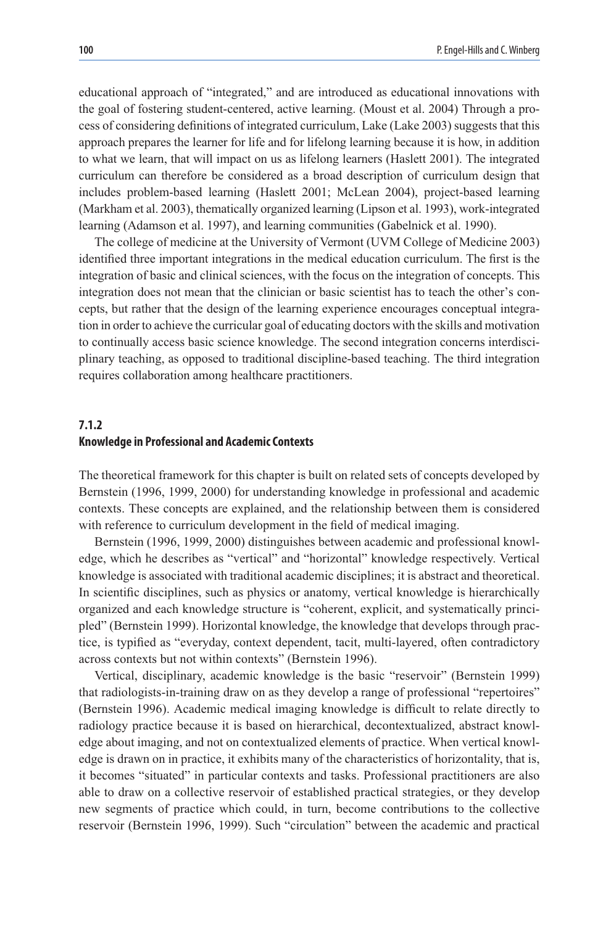educational approach of "integrated," and are introduced as educational innovations with the goal of fostering student-centered, active learning. (Moust et al. 2004) Through a process of considering definitions of integrated curriculum, Lake (Lake 2003) suggests that this approach prepares the learner for life and for lifelong learning because it is how, in addition to what we learn, that will impact on us as lifelong learners (Haslett 2001). The integrated curriculum can therefore be considered as a broad description of curriculum design that includes problem-based learning (Haslett 2001; McLean 2004), project-based learning (Markham et al. 2003), thematically organized learning (Lipson et al. 1993), work-integrated learning (Adamson et al. 1997), and learning communities (Gabelnick et al. 1990).

The college of medicine at the University of Vermont (UVM College of Medicine 2003) identified three important integrations in the medical education curriculum. The first is the integration of basic and clinical sciences, with the focus on the integration of concepts. This integration does not mean that the clinician or basic scientist has to teach the other's concepts, but rather that the design of the learning experience encourages conceptual integration in order to achieve the curricular goal of educating doctors with the skills and motivation to continually access basic science knowledge. The second integration concerns interdisciplinary teaching, as opposed to traditional discipline-based teaching. The third integration requires collaboration among healthcare practitioners.

# **7.1.2 Knowledge in Professional and Academic Contexts**

The theoretical framework for this chapter is built on related sets of concepts developed by Bernstein (1996, 1999, 2000) for understanding knowledge in professional and academic contexts. These concepts are explained, and the relationship between them is considered with reference to curriculum development in the field of medical imaging.

Bernstein (1996, 1999, 2000) distinguishes between academic and professional knowledge, which he describes as "vertical" and "horizontal" knowledge respectively. Vertical knowledge is associated with traditional academic disciplines; it is abstract and theoretical. In scientific disciplines, such as physics or anatomy, vertical knowledge is hierarchically organized and each knowledge structure is "coherent, explicit, and systematically principled" (Bernstein 1999). Horizontal knowledge, the knowledge that develops through practice, is typified as "everyday, context dependent, tacit, multi-layered, often contradictory across contexts but not within contexts" (Bernstein 1996).

Vertical, disciplinary, academic knowledge is the basic "reservoir" (Bernstein 1999) that radiologists-in-training draw on as they develop a range of professional "repertoires" (Bernstein 1996). Academic medical imaging knowledge is difficult to relate directly to radiology practice because it is based on hierarchical, decontextualized, abstract knowledge about imaging, and not on contextualized elements of practice. When vertical knowledge is drawn on in practice, it exhibits many of the characteristics of horizontality, that is, it becomes "situated" in particular contexts and tasks. Professional practitioners are also able to draw on a collective reservoir of established practical strategies, or they develop new segments of practice which could, in turn, become contributions to the collective reservoir (Bernstein 1996, 1999). Such "circulation" between the academic and practical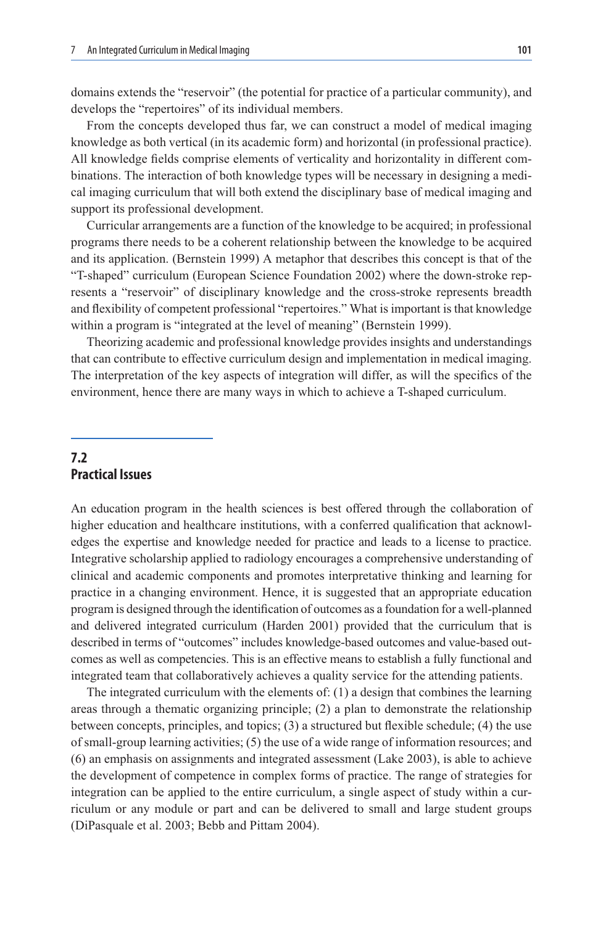domains extends the "reservoir" (the potential for practice of a particular community), and develops the "repertoires" of its individual members.

From the concepts developed thus far, we can construct a model of medical imaging knowledge as both vertical (in its academic form) and horizontal (in professional practice). All knowledge fields comprise elements of verticality and horizontality in different combinations. The interaction of both knowledge types will be necessary in designing a medical imaging curriculum that will both extend the disciplinary base of medical imaging and support its professional development.

Curricular arrangements are a function of the knowledge to be acquired; in professional programs there needs to be a coherent relationship between the knowledge to be acquired and its application. (Bernstein 1999) A metaphor that describes this concept is that of the "T-shaped" curriculum (European Science Foundation 2002) where the down-stroke represents a "reservoir" of disciplinary knowledge and the cross-stroke represents breadth and flexibility of competent professional "repertoires." What is important is that knowledge within a program is "integrated at the level of meaning" (Bernstein 1999).

Theorizing academic and professional knowledge provides insights and understandings that can contribute to effective curriculum design and implementation in medical imaging. The interpretation of the key aspects of integration will differ, as will the specifics of the environment, hence there are many ways in which to achieve a T-shaped curriculum.

# **7.2 Practical Issues**

An education program in the health sciences is best offered through the collaboration of higher education and healthcare institutions, with a conferred qualification that acknowledges the expertise and knowledge needed for practice and leads to a license to practice. Integrative scholarship applied to radiology encourages a comprehensive understanding of clinical and academic components and promotes interpretative thinking and learning for practice in a changing environment. Hence, it is suggested that an appropriate education program is designed through the identification of outcomes as a foundation for a well-planned and delivered integrated curriculum (Harden 2001) provided that the curriculum that is described in terms of "outcomes" includes knowledge-based outcomes and value-based outcomes as well as competencies. This is an effective means to establish a fully functional and integrated team that collaboratively achieves a quality service for the attending patients.

The integrated curriculum with the elements of: (1) a design that combines the learning areas through a thematic organizing principle; (2) a plan to demonstrate the relationship between concepts, principles, and topics;  $(3)$  a structured but flexible schedule;  $(4)$  the use of small-group learning activities; (5) the use of a wide range of information resources; and (6) an emphasis on assignments and integrated assessment (Lake 2003), is able to achieve the development of competence in complex forms of practice. The range of strategies for integration can be applied to the entire curriculum, a single aspect of study within a curriculum or any module or part and can be delivered to small and large student groups (DiPasquale et al. 2003; Bebb and Pittam 2004).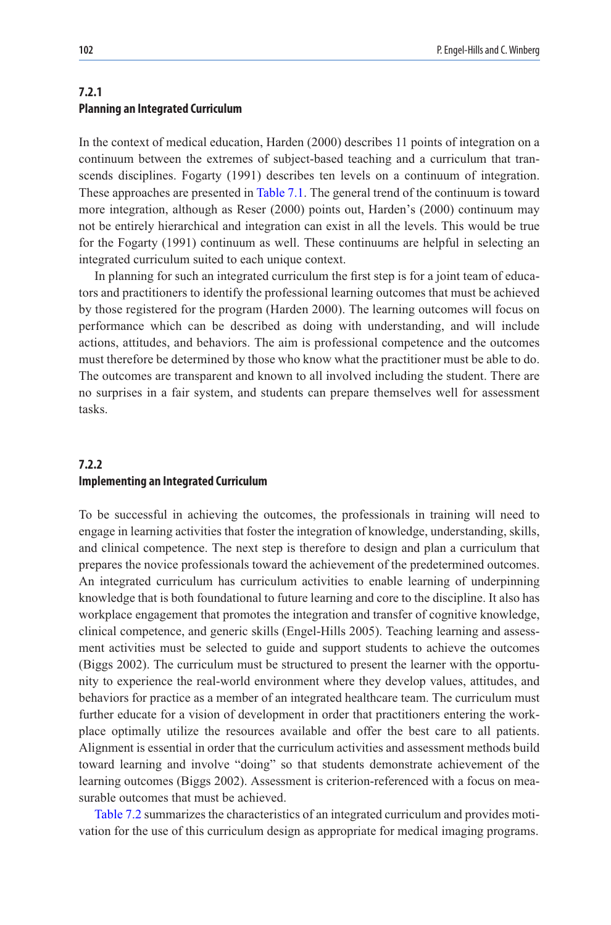#### **7.2.1 Planning an Integrated Curriculum**

In the context of medical education, Harden (2000) describes 11 points of integration on a continuum between the extremes of subject-based teaching and a curriculum that transcends disciplines. Fogarty (1991) describes ten levels on a continuum of integration. These approaches are presented in [Table 7.1.](#page-4-0) The general trend of the continuum is toward more integration, although as Reser (2000) points out, Harden's (2000) continuum may not be entirely hierarchical and integration can exist in all the levels. This would be true for the Fogarty (1991) continuum as well. These continuums are helpful in selecting an integrated curriculum suited to each unique context.

In planning for such an integrated curriculum the first step is for a joint team of educators and practitioners to identify the professional learning outcomes that must be achieved by those registered for the program (Harden 2000). The learning outcomes will focus on performance which can be described as doing with understanding, and will include actions, attitudes, and behaviors. The aim is professional competence and the outcomes must therefore be determined by those who know what the practitioner must be able to do. The outcomes are transparent and known to all involved including the student. There are no surprises in a fair system, and students can prepare themselves well for assessment tasks.

# **7.2.2 Implementing an Integrated Curriculum**

To be successful in achieving the outcomes, the professionals in training will need to engage in learning activities that foster the integration of knowledge, understanding, skills, and clinical competence. The next step is therefore to design and plan a curriculum that prepares the novice professionals toward the achievement of the predetermined outcomes. An integrated curriculum has curriculum activities to enable learning of underpinning knowledge that is both foundational to future learning and core to the discipline. It also has workplace engagement that promotes the integration and transfer of cognitive knowledge, clinical competence, and generic skills (Engel-Hills 2005). Teaching learning and assessment activities must be selected to guide and support students to achieve the outcomes (Biggs 2002). The curriculum must be structured to present the learner with the opportunity to experience the real-world environment where they develop values, attitudes, and behaviors for practice as a member of an integrated healthcare team. The curriculum must further educate for a vision of development in order that practitioners entering the workplace optimally utilize the resources available and offer the best care to all patients. Alignment is essential in order that the curriculum activities and assessment methods build toward learning and involve "doing" so that students demonstrate achievement of the learning outcomes (Biggs 2002). Assessment is criterion-referenced with a focus on measurable outcomes that must be achieved.

[Table 7.2 s](#page-5-0)ummarizes the characteristics of an integrated curriculum and provides motivation for the use of this curriculum design as appropriate for medical imaging programs.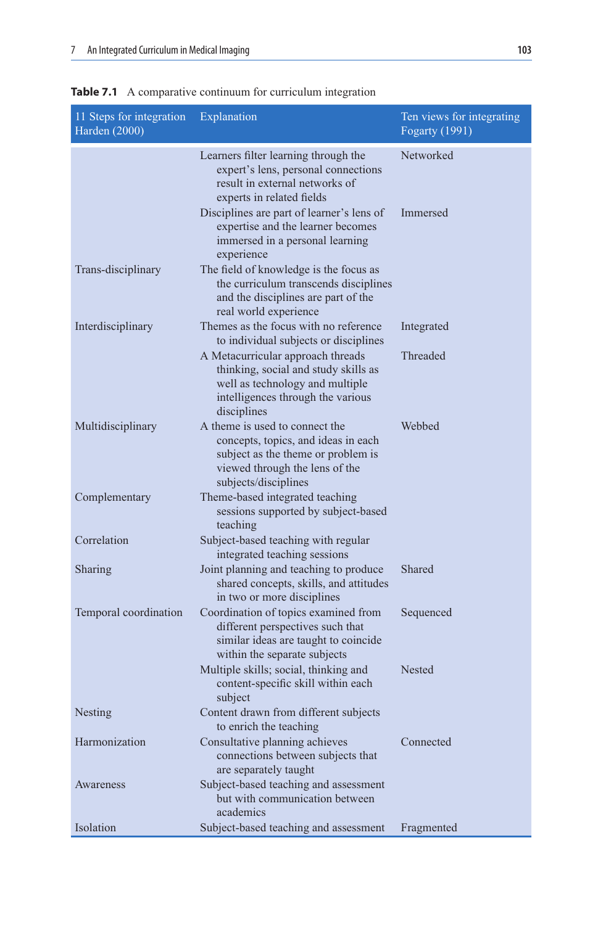| 11 Steps for integration<br>Harden (2000) | Explanation                                                                                                                                                                             | Ten views for integrating<br><b>Fogarty</b> (1991) |
|-------------------------------------------|-----------------------------------------------------------------------------------------------------------------------------------------------------------------------------------------|----------------------------------------------------|
|                                           | Learners filter learning through the<br>expert's lens, personal connections<br>result in external networks of<br>experts in related fields<br>Disciplines are part of learner's lens of | Networked<br>Immersed                              |
|                                           | expertise and the learner becomes<br>immersed in a personal learning<br>experience                                                                                                      |                                                    |
| Trans-disciplinary                        | The field of knowledge is the focus as<br>the curriculum transcends disciplines<br>and the disciplines are part of the<br>real world experience                                         |                                                    |
| Interdisciplinary                         | Themes as the focus with no reference<br>to individual subjects or disciplines                                                                                                          | Integrated                                         |
|                                           | A Metacurricular approach threads<br>thinking, social and study skills as<br>well as technology and multiple<br>intelligences through the various<br>disciplines                        | Threaded                                           |
| Multidisciplinary                         | A theme is used to connect the<br>concepts, topics, and ideas in each<br>subject as the theme or problem is<br>viewed through the lens of the<br>subjects/disciplines                   | Webbed                                             |
| Complementary                             | Theme-based integrated teaching<br>sessions supported by subject-based<br>teaching                                                                                                      |                                                    |
| Correlation                               | Subject-based teaching with regular<br>integrated teaching sessions                                                                                                                     |                                                    |
| Sharing                                   | Joint planning and teaching to produce<br>shared concepts, skills, and attitudes<br>in two or more disciplines                                                                          | Shared                                             |
| Temporal coordination                     | Coordination of topics examined from<br>different perspectives such that<br>similar ideas are taught to coincide<br>within the separate subjects                                        | Sequenced                                          |
|                                           | Multiple skills; social, thinking and<br>content-specific skill within each<br>subject                                                                                                  | Nested                                             |
| Nesting                                   | Content drawn from different subjects<br>to enrich the teaching                                                                                                                         |                                                    |
| Harmonization                             | Consultative planning achieves<br>connections between subjects that<br>are separately taught                                                                                            | Connected                                          |
| Awareness                                 | Subject-based teaching and assessment<br>but with communication between<br>academics                                                                                                    |                                                    |
| Isolation                                 | Subject-based teaching and assessment                                                                                                                                                   | Fragmented                                         |

# <span id="page-4-0"></span>**Table 7.1** A comparative continuum for curriculum integration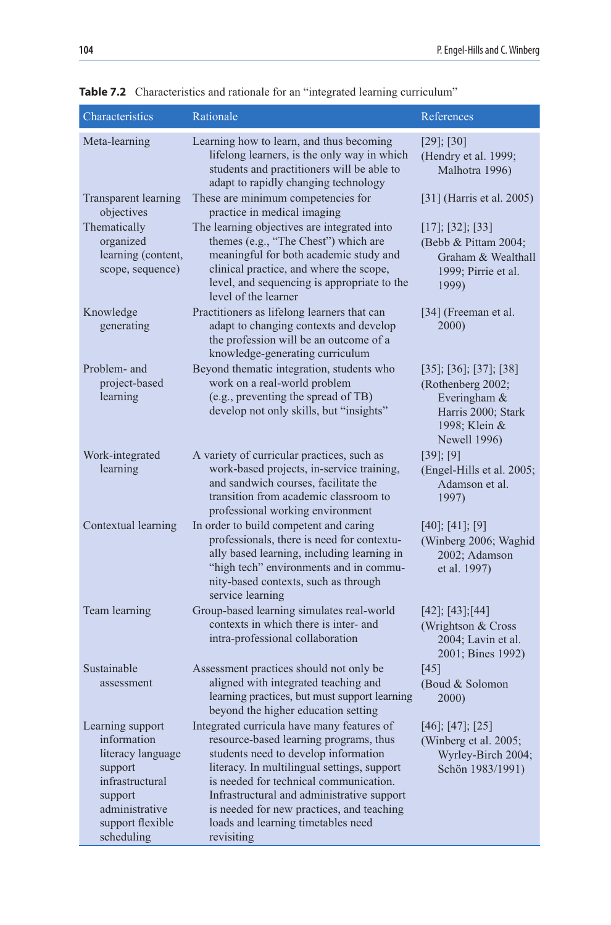| Characteristics                                                                                                                                   | Rationale                                                                                                                                                                                                                                                                                                                                                            | References                                                                                                                   |
|---------------------------------------------------------------------------------------------------------------------------------------------------|----------------------------------------------------------------------------------------------------------------------------------------------------------------------------------------------------------------------------------------------------------------------------------------------------------------------------------------------------------------------|------------------------------------------------------------------------------------------------------------------------------|
| Meta-learning                                                                                                                                     | Learning how to learn, and thus becoming<br>lifelong learners, is the only way in which<br>students and practitioners will be able to<br>adapt to rapidly changing technology                                                                                                                                                                                        | $[29]$ ; $[30]$<br>(Hendry et al. 1999;<br>Malhotra 1996)                                                                    |
| Transparent learning<br>objectives                                                                                                                | These are minimum competencies for<br>practice in medical imaging                                                                                                                                                                                                                                                                                                    | [31] (Harris et al. 2005)                                                                                                    |
| Thematically<br>organized<br>learning (content,<br>scope, sequence)                                                                               | The learning objectives are integrated into<br>themes (e.g., "The Chest") which are<br>meaningful for both academic study and<br>clinical practice, and where the scope,<br>level, and sequencing is appropriate to the<br>level of the learner                                                                                                                      | $[17]$ ; $[32]$ ; $[33]$<br>(Bebb & Pittam 2004;<br>Graham & Wealthall<br>1999; Pirrie et al.<br>1999)                       |
| Knowledge<br>generating                                                                                                                           | Practitioners as lifelong learners that can<br>adapt to changing contexts and develop<br>the profession will be an outcome of a<br>knowledge-generating curriculum                                                                                                                                                                                                   | [34] (Freeman et al.<br>2000)                                                                                                |
| Problem- and<br>project-based<br>learning                                                                                                         | Beyond thematic integration, students who<br>work on a real-world problem<br>(e.g., preventing the spread of TB)<br>develop not only skills, but "insights"                                                                                                                                                                                                          | $[35]$ ; [36]; [37]; [38]<br>(Rothenberg 2002;<br>Everingham &<br>Harris 2000; Stark<br>1998; Klein &<br><b>Newell 1996)</b> |
| Work-integrated<br>learning                                                                                                                       | A variety of curricular practices, such as<br>work-based projects, in-service training,<br>and sandwich courses, facilitate the<br>transition from academic classroom to<br>professional working environment                                                                                                                                                         | [39]; [9]<br>(Engel-Hills et al. 2005;<br>Adamson et al.<br>1997)                                                            |
| Contextual learning                                                                                                                               | In order to build competent and caring<br>professionals, there is need for contextu-<br>ally based learning, including learning in<br>"high tech" environments and in commu-<br>nity-based contexts, such as through<br>service learning                                                                                                                             | $[40]$ ; $[41]$ ; $[9]$<br>(Winberg 2006; Waghid<br>2002; Adamson<br>et al. 1997)                                            |
| Team learning                                                                                                                                     | Group-based learning simulates real-world<br>contexts in which there is inter- and<br>intra-professional collaboration                                                                                                                                                                                                                                               | $[42]$ ; $[43]$ ; $[44]$<br>(Wrightson & Cross<br>2004; Lavin et al.<br>2001; Bines 1992)                                    |
| Sustainable<br>assessment                                                                                                                         | Assessment practices should not only be<br>aligned with integrated teaching and<br>learning practices, but must support learning<br>beyond the higher education setting                                                                                                                                                                                              | [45]<br>(Boud & Solomon<br>2000)                                                                                             |
| Learning support<br>information<br>literacy language<br>support<br>infrastructural<br>support<br>administrative<br>support flexible<br>scheduling | Integrated curricula have many features of<br>resource-based learning programs, thus<br>students need to develop information<br>literacy. In multilingual settings, support<br>is needed for technical communication.<br>Infrastructural and administrative support<br>is needed for new practices, and teaching<br>loads and learning timetables need<br>revisiting | [46]; [47]; [25]<br>(Winberg et al. 2005;<br>Wyrley-Birch 2004;<br>Schön 1983/1991)                                          |

<span id="page-5-0"></span>**Table 7.2** Characteristics and rationale for an "integrated learning curriculum"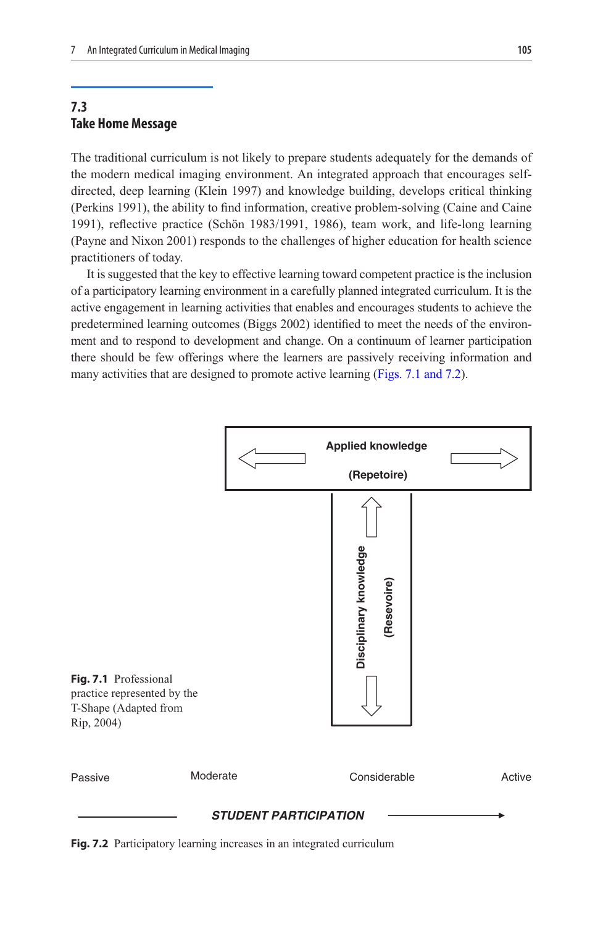# **7.3 Take Home Message**

The traditional curriculum is not likely to prepare students adequately for the demands of the modern medical imaging environment. An integrated approach that encourages selfdirected, deep learning (Klein 1997) and knowledge building, develops critical thinking (Perkins 1991), the ability to find information, creative problem-solving (Caine and Caine 1991), reflective practice (Schön 1983/1991, 1986), team work, and life-long learning (Payne and Nixon 2001) responds to the challenges of higher education for health science practitioners of today.

It is suggested that the key to effective learning toward competent practice is the inclusion of a participatory learning environment in a carefully planned integrated curriculum. It is the active engagement in learning activities that enables and encourages students to achieve the predetermined learning outcomes (Biggs 2002) identified to meet the needs of the environment and to respond to development and change. On a continuum of learner participation there should be few offerings where the learners are passively receiving information and many activities that are designed to promote active learning (Figs. 7.1 and 7.2).



**Fig. 7.2** Participatory learning increases in an integrated curriculum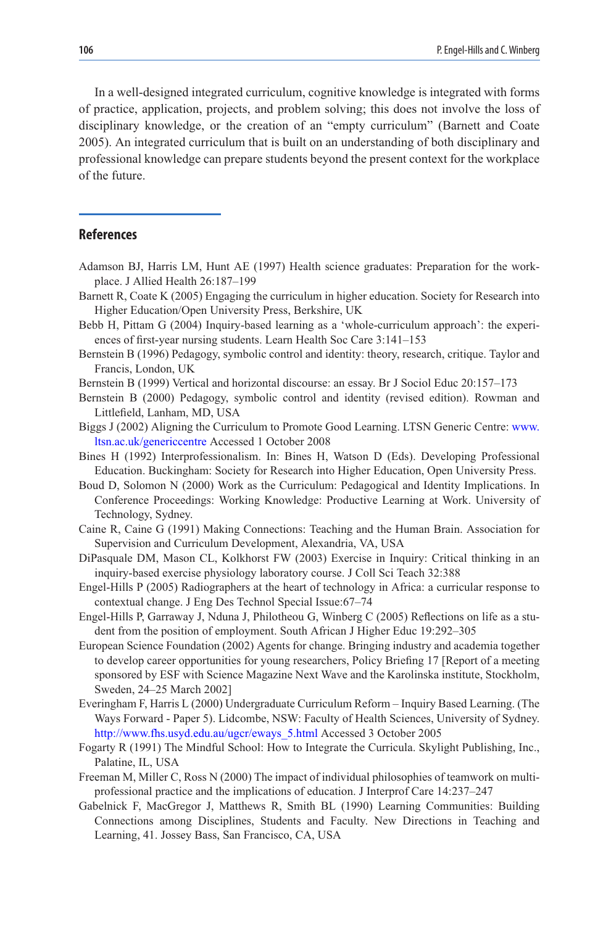In a well-designed integrated curriculum, cognitive knowledge is integrated with forms of practice, application, projects, and problem solving; this does not involve the loss of disciplinary knowledge, or the creation of an "empty curriculum" (Barnett and Coate 2005). An integrated curriculum that is built on an understanding of both disciplinary and professional knowledge can prepare students beyond the present context for the workplace of the future.

#### **References**

- Adamson BJ, Harris LM, Hunt AE (1997) Health science graduates: Preparation for the workplace. J Allied Health 26:187–199
- Barnett R, Coate K (2005) Engaging the curriculum in higher education. Society for Research into Higher Education/Open University Press, Berkshire, UK
- Bebb H, Pittam G (2004) Inquiry-based learning as a 'whole-curriculum approach': the experiences of first-year nursing students. Learn Health Soc Care 3:141–153
- Bernstein B (1996) Pedagogy, symbolic control and identity: theory, research, critique. Taylor and Francis, London, UK
- Bernstein B (1999) Vertical and horizontal discourse: an essay. Br J Sociol Educ 20:157–173
- Bernstein B (2000) Pedagogy, symbolic control and identity (revised edition). Rowman and Littlefield, Lanham, MD, USA
- Biggs J (2002) Aligning the Curriculum to Promote Good Learning. LTSN Generic Centre: [www.](www.ltsn.ac.uk/genericcentre) [ltsn.ac.uk/genericcentre](www.ltsn.ac.uk/genericcentre) Accessed 1 October 2008
- Bines H (1992) Interprofessionalism. In: Bines H, Watson D (Eds). Developing Professional Education. Buckingham: Society for Research into Higher Education, Open University Press.
- Boud D, Solomon N (2000) Work as the Curriculum: Pedagogical and Identity Implications. In Conference Proceedings: Working Knowledge: Productive Learning at Work. University of Technology, Sydney.
- Caine R, Caine G (1991) Making Connections: Teaching and the Human Brain. Association for Supervision and Curriculum Development, Alexandria, VA, USA
- DiPasquale DM, Mason CL, Kolkhorst FW (2003) Exercise in Inquiry: Critical thinking in an inquiry-based exercise physiology laboratory course. J Coll Sci Teach 32:388
- Engel-Hills P (2005) Radiographers at the heart of technology in Africa: a curricular response to contextual change. J Eng Des Technol Special Issue:67–74
- Engel-Hills P, Garraway J, Nduna J, Philotheou G, Winberg C (2005) Reflections on life as a student from the position of employment. South African J Higher Educ 19:292–305
- European Science Foundation (2002) Agents for change. Bringing industry and academia together to develop career opportunities for young researchers, Policy Briefing 17 [Report of a meeting sponsored by ESF with Science Magazine Next Wave and the Karolinska institute, Stockholm, Sweden, 24–25 March 2002]
- Everingham F, Harris L (2000) Undergraduate Curriculum Reform Inquiry Based Learning. (The Ways Forward - Paper 5). Lidcombe, NSW: Faculty of Health Sciences, University of Sydney. [http://www.fhs.usyd.edu.au/ugcr/eways\\_5.html A](http://www.fhs.usyd.edu.au/ugcr/eways_5.html)ccessed 3 October 2005
- Fogarty R (1991) The Mindful School: How to Integrate the Curricula. Skylight Publishing, Inc., Palatine, IL, USA
- Freeman M, Miller C, Ross N (2000) The impact of individual philosophies of teamwork on multiprofessional practice and the implications of education. J Interprof Care 14:237–247
- Gabelnick F, MacGregor J, Matthews R, Smith BL (1990) Learning Communities: Building Connections among Disciplines, Students and Faculty. New Directions in Teaching and Learning, 41. Jossey Bass, San Francisco, CA, USA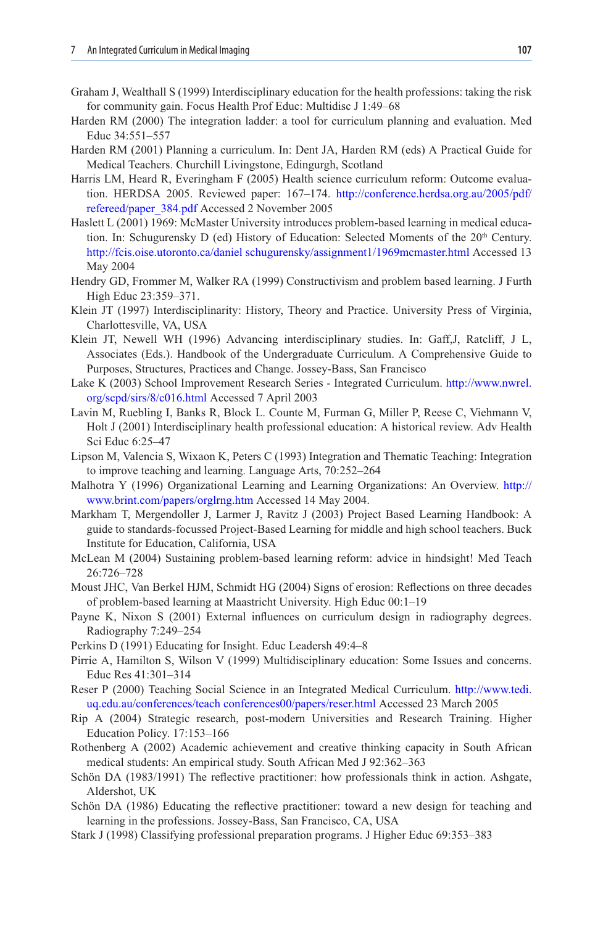- Graham J, Wealthall S (1999) Interdisciplinary education for the health professions: taking the risk for community gain. Focus Health Prof Educ: Multidisc J 1:49–68
- Harden RM (2000) The integration ladder: a tool for curriculum planning and evaluation. Med Educ 34:551–557
- Harden RM (2001) Planning a curriculum. In: Dent JA, Harden RM (eds) A Practical Guide for Medical Teachers. Churchill Livingstone, Edingurgh, Scotland
- Harris LM, Heard R, Everingham F (2005) Health science curriculum reform: Outcome evaluation. HERDSA 2005. Reviewed paper: 167–174. [http://conference.herdsa.org.au/2005/pdf/](http://conference.herdsa.org.au/2005/pdf/refereed/paper_384.pdf) [refereed/paper\\_384.pdf](http://conference.herdsa.org.au/2005/pdf/refereed/paper_384.pdf) Accessed 2 November 2005
- Haslett L (2001) 1969: McMaster University introduces problem-based learning in medical education. In: Schugurensky D (ed) History of Education: Selected Moments of the  $20<sup>th</sup>$  Century. <http://fcis.oise.utoronto.ca/daniel schugurensky/assignment1/1969mcmaster.html>Accessed 13 May 2004
- Hendry GD, Frommer M, Walker RA (1999) Constructivism and problem based learning. J Furth High Educ 23:359–371.
- Klein JT (1997) Interdisciplinarity: History, Theory and Practice. University Press of Virginia, Charlottesville, VA, USA
- Klein JT, Newell WH (1996) Advancing interdisciplinary studies. In: Gaff,J, Ratcliff, J L, Associates (Eds.). Handbook of the Undergraduate Curriculum. A Comprehensive Guide to Purposes, Structures, Practices and Change. Jossey-Bass, San Francisco
- Lake K (2003) School Improvement Research Series Integrated Curriculum. [http://www.nwrel.](http://www.nwrel.org/scpd/sirs/8/c016.html) [org/scpd/sirs/8/c016.html](http://www.nwrel.org/scpd/sirs/8/c016.html) Accessed 7 April 2003
- Lavin M, Ruebling I, Banks R, Block L. Counte M, Furman G, Miller P, Reese C, Viehmann V, Holt J (2001) Interdisciplinary health professional education: A historical review. Adv Health Sci Educ 6:25–47
- Lipson M, Valencia S, Wixaon K, Peters C (1993) Integration and Thematic Teaching: Integration to improve teaching and learning. Language Arts, 70:252–264
- Malhotra Y (1996) Organizational Learning and Learning Organizations: An Overview. [http://](http://www.brint.com/papers/orglrng.htm) [www.brint.com/papers/orglrng.htm](http://www.brint.com/papers/orglrng.htm) Accessed 14 May 2004.
- Markham T, Mergendoller J, Larmer J, Ravitz J (2003) Project Based Learning Handbook: A guide to standards-focussed Project-Based Learning for middle and high school teachers. Buck Institute for Education, California, USA
- McLean M (2004) Sustaining problem-based learning reform: advice in hindsight! Med Teach 26:726–728
- Moust JHC, Van Berkel HJM, Schmidt HG (2004) Signs of erosion: Reflections on three decades of problem-based learning at Maastricht University. High Educ 00:1–19
- Payne K, Nixon S (2001) External influences on curriculum design in radiography degrees. Radiography 7:249–254
- Perkins D (1991) Educating for Insight. Educ Leadersh 49:4–8
- Pirrie A, Hamilton S, Wilson V (1999) Multidisciplinary education: Some Issues and concerns. Educ Res 41:301–314
- Reser P (2000) Teaching Social Science in an Integrated Medical Curriculum. [http://www.tedi.](http://www.tedi.uq.edu.au/conferences/teach conferences00/papers/reser.html) [uq.edu.au/conferences/teach conferences00/papers/reser.html](http://www.tedi.uq.edu.au/conferences/teach conferences00/papers/reser.html) Accessed 23 March 2005
- Rip A (2004) Strategic research, post-modern Universities and Research Training. Higher Education Policy. 17:153–166
- Rothenberg A (2002) Academic achievement and creative thinking capacity in South African medical students: An empirical study. South African Med J 92:362–363
- Schön DA (1983/1991) The reflective practitioner: how professionals think in action. Ashgate, Aldershot, UK
- Schön DA (1986) Educating the reflective practitioner: toward a new design for teaching and learning in the professions. Jossey-Bass, San Francisco, CA, USA
- Stark J (1998) Classifying professional preparation programs. J Higher Educ 69:353–383